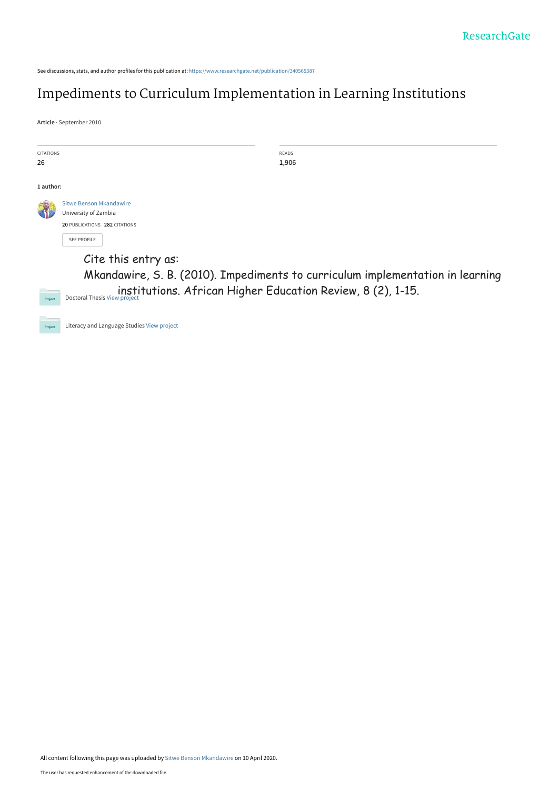See discussions, stats, and author profiles for this publication at: [https://www.researchgate.net/publication/340565387](https://www.researchgate.net/publication/340565387_Impediments_to_Curriculum_Implementation_in_Learning_Institutions?enrichId=rgreq-5c978f3607b58feb36d8b25cb945377b-XXX&enrichSource=Y292ZXJQYWdlOzM0MDU2NTM4NztBUzo4Nzg4NjQzMDE1NTU3MTRAMTU4NjU0ODk4NjkwNA%3D%3D&el=1_x_2&_esc=publicationCoverPdf)

# [Impediments to Curriculum Implementation in Learning Institutions](https://www.researchgate.net/publication/340565387_Impediments_to_Curriculum_Implementation_in_Learning_Institutions?enrichId=rgreq-5c978f3607b58feb36d8b25cb945377b-XXX&enrichSource=Y292ZXJQYWdlOzM0MDU2NTM4NztBUzo4Nzg4NjQzMDE1NTU3MTRAMTU4NjU0ODk4NjkwNA%3D%3D&el=1_x_3&_esc=publicationCoverPdf)

**Article** · September 2010

| <b>CITATIONS</b><br>26 |                                                                                                                                                                                                             | <b>READS</b><br>1,906 |
|------------------------|-------------------------------------------------------------------------------------------------------------------------------------------------------------------------------------------------------------|-----------------------|
| 1 author:              |                                                                                                                                                                                                             |                       |
|                        | Sitwe Benson Mkandawire<br>University of Zambia<br>20 PUBLICATIONS 282 CITATIONS<br><b>SEE PROFILE</b>                                                                                                      |                       |
| Project                | Cite this entry as:<br>Mkandawire, S. B. (2010). Impediments to curriculum implementation in learning<br>institutions. African Higher Education Review, 8 (2), 1-15.<br><b>Doctoral Thesis View project</b> |                       |
| Project                | Literacy and Language Studies View project                                                                                                                                                                  |                       |

All content following this page was uploaded by [Sitwe Benson Mkandawire](https://www.researchgate.net/profile/Sitwe-Mkandawire?enrichId=rgreq-5c978f3607b58feb36d8b25cb945377b-XXX&enrichSource=Y292ZXJQYWdlOzM0MDU2NTM4NztBUzo4Nzg4NjQzMDE1NTU3MTRAMTU4NjU0ODk4NjkwNA%3D%3D&el=1_x_10&_esc=publicationCoverPdf) on 10 April 2020.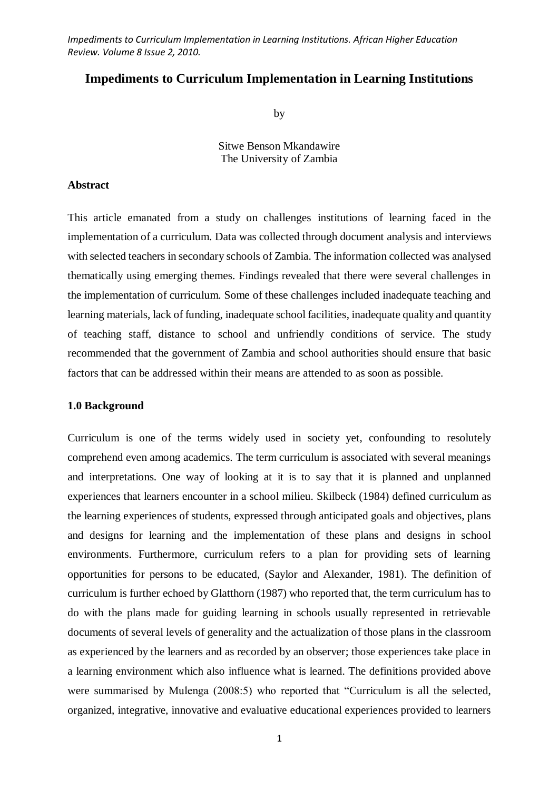# **Impediments to Curriculum Implementation in Learning Institutions**

by

Sitwe Benson Mkandawire The University of Zambia

#### **Abstract**

This article emanated from a study on challenges institutions of learning faced in the implementation of a curriculum. Data was collected through document analysis and interviews with selected teachers in secondary schools of Zambia. The information collected was analysed thematically using emerging themes. Findings revealed that there were several challenges in the implementation of curriculum. Some of these challenges included inadequate teaching and learning materials, lack of funding, inadequate school facilities, inadequate quality and quantity of teaching staff, distance to school and unfriendly conditions of service. The study recommended that the government of Zambia and school authorities should ensure that basic factors that can be addressed within their means are attended to as soon as possible.

#### **1.0 Background**

Curriculum is one of the terms widely used in society yet, confounding to resolutely comprehend even among academics. The term curriculum is associated with several meanings and interpretations. One way of looking at it is to say that it is planned and unplanned experiences that learners encounter in a school milieu. Skilbeck (1984) defined curriculum as the learning experiences of students, expressed through anticipated goals and objectives, plans and designs for learning and the implementation of these plans and designs in school environments. Furthermore, curriculum refers to a plan for providing sets of learning opportunities for persons to be educated, (Saylor and Alexander, 1981). The definition of curriculum is further echoed by Glatthorn (1987) who reported that, the term curriculum has to do with the plans made for guiding learning in schools usually represented in retrievable documents of several levels of generality and the actualization of those plans in the classroom as experienced by the learners and as recorded by an observer; those experiences take place in a learning environment which also influence what is learned. The definitions provided above were summarised by Mulenga (2008:5) who reported that "Curriculum is all the selected, organized, integrative, innovative and evaluative educational experiences provided to learners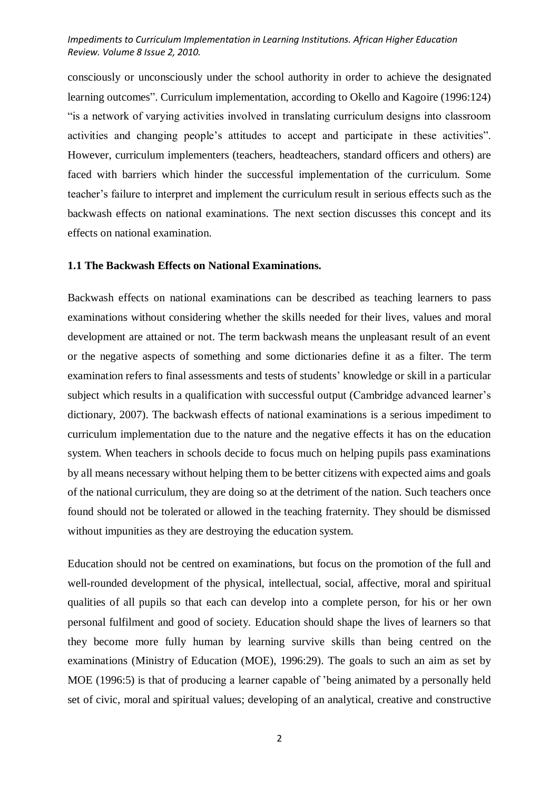consciously or unconsciously under the school authority in order to achieve the designated learning outcomes". Curriculum implementation, according to Okello and Kagoire (1996:124) "is a network of varying activities involved in translating curriculum designs into classroom activities and changing people's attitudes to accept and participate in these activities". However, curriculum implementers (teachers, headteachers, standard officers and others) are faced with barriers which hinder the successful implementation of the curriculum. Some teacher's failure to interpret and implement the curriculum result in serious effects such as the backwash effects on national examinations. The next section discusses this concept and its effects on national examination.

# **1.1 The Backwash Effects on National Examinations.**

Backwash effects on national examinations can be described as teaching learners to pass examinations without considering whether the skills needed for their lives, values and moral development are attained or not. The term backwash means the unpleasant result of an event or the negative aspects of something and some dictionaries define it as a filter. The term examination refers to final assessments and tests of students' knowledge or skill in a particular subject which results in a qualification with successful output (Cambridge advanced learner's dictionary, 2007). The backwash effects of national examinations is a serious impediment to curriculum implementation due to the nature and the negative effects it has on the education system. When teachers in schools decide to focus much on helping pupils pass examinations by all means necessary without helping them to be better citizens with expected aims and goals of the national curriculum, they are doing so at the detriment of the nation. Such teachers once found should not be tolerated or allowed in the teaching fraternity. They should be dismissed without impunities as they are destroying the education system.

Education should not be centred on examinations, but focus on the promotion of the full and well-rounded development of the physical, intellectual, social, affective, moral and spiritual qualities of all pupils so that each can develop into a complete person, for his or her own personal fulfilment and good of society. Education should shape the lives of learners so that they become more fully human by learning survive skills than being centred on the examinations (Ministry of Education (MOE), 1996:29). The goals to such an aim as set by MOE (1996:5) is that of producing a learner capable of 'being animated by a personally held set of civic, moral and spiritual values; developing of an analytical, creative and constructive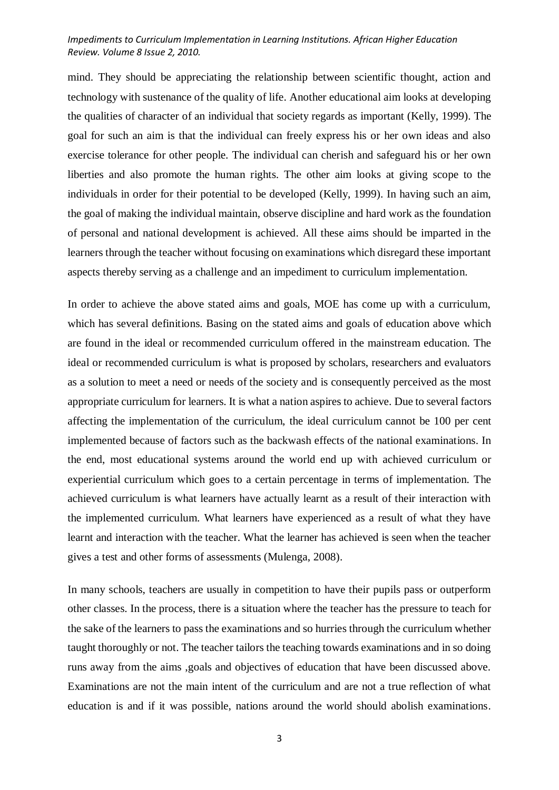mind. They should be appreciating the relationship between scientific thought, action and technology with sustenance of the quality of life. Another educational aim looks at developing the qualities of character of an individual that society regards as important (Kelly, 1999). The goal for such an aim is that the individual can freely express his or her own ideas and also exercise tolerance for other people. The individual can cherish and safeguard his or her own liberties and also promote the human rights. The other aim looks at giving scope to the individuals in order for their potential to be developed (Kelly, 1999). In having such an aim, the goal of making the individual maintain, observe discipline and hard work as the foundation of personal and national development is achieved. All these aims should be imparted in the learners through the teacher without focusing on examinations which disregard these important aspects thereby serving as a challenge and an impediment to curriculum implementation.

In order to achieve the above stated aims and goals, MOE has come up with a curriculum, which has several definitions. Basing on the stated aims and goals of education above which are found in the ideal or recommended curriculum offered in the mainstream education. The ideal or recommended curriculum is what is proposed by scholars, researchers and evaluators as a solution to meet a need or needs of the society and is consequently perceived as the most appropriate curriculum for learners. It is what a nation aspires to achieve. Due to several factors affecting the implementation of the curriculum, the ideal curriculum cannot be 100 per cent implemented because of factors such as the backwash effects of the national examinations. In the end, most educational systems around the world end up with achieved curriculum or experiential curriculum which goes to a certain percentage in terms of implementation. The achieved curriculum is what learners have actually learnt as a result of their interaction with the implemented curriculum. What learners have experienced as a result of what they have learnt and interaction with the teacher. What the learner has achieved is seen when the teacher gives a test and other forms of assessments (Mulenga, 2008).

In many schools, teachers are usually in competition to have their pupils pass or outperform other classes. In the process, there is a situation where the teacher has the pressure to teach for the sake of the learners to pass the examinations and so hurries through the curriculum whether taught thoroughly or not. The teacher tailors the teaching towards examinations and in so doing runs away from the aims ,goals and objectives of education that have been discussed above. Examinations are not the main intent of the curriculum and are not a true reflection of what education is and if it was possible, nations around the world should abolish examinations.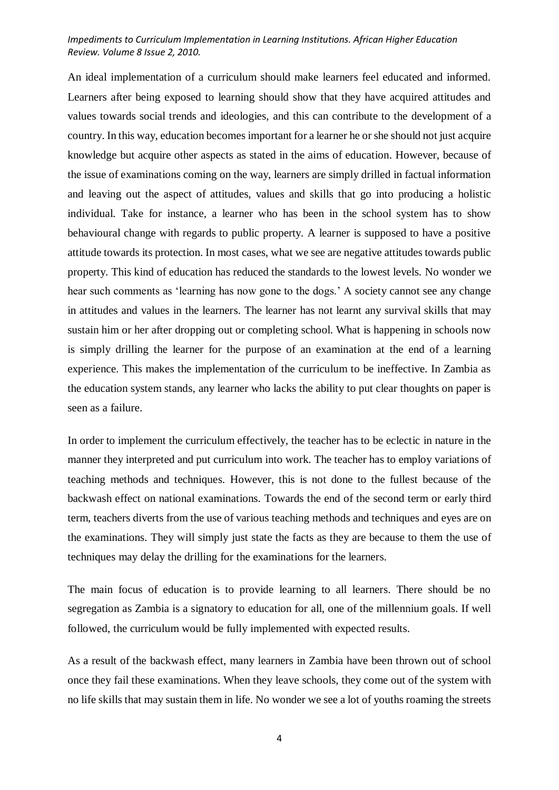An ideal implementation of a curriculum should make learners feel educated and informed. Learners after being exposed to learning should show that they have acquired attitudes and values towards social trends and ideologies, and this can contribute to the development of a country. In this way, education becomes important for a learner he or she should not just acquire knowledge but acquire other aspects as stated in the aims of education. However, because of the issue of examinations coming on the way, learners are simply drilled in factual information and leaving out the aspect of attitudes, values and skills that go into producing a holistic individual. Take for instance, a learner who has been in the school system has to show behavioural change with regards to public property. A learner is supposed to have a positive attitude towards its protection. In most cases, what we see are negative attitudes towards public property. This kind of education has reduced the standards to the lowest levels. No wonder we hear such comments as 'learning has now gone to the dogs.' A society cannot see any change in attitudes and values in the learners. The learner has not learnt any survival skills that may sustain him or her after dropping out or completing school. What is happening in schools now is simply drilling the learner for the purpose of an examination at the end of a learning experience. This makes the implementation of the curriculum to be ineffective. In Zambia as the education system stands, any learner who lacks the ability to put clear thoughts on paper is seen as a failure.

In order to implement the curriculum effectively, the teacher has to be eclectic in nature in the manner they interpreted and put curriculum into work. The teacher has to employ variations of teaching methods and techniques. However, this is not done to the fullest because of the backwash effect on national examinations. Towards the end of the second term or early third term, teachers diverts from the use of various teaching methods and techniques and eyes are on the examinations. They will simply just state the facts as they are because to them the use of techniques may delay the drilling for the examinations for the learners.

The main focus of education is to provide learning to all learners. There should be no segregation as Zambia is a signatory to education for all, one of the millennium goals. If well followed, the curriculum would be fully implemented with expected results.

As a result of the backwash effect, many learners in Zambia have been thrown out of school once they fail these examinations. When they leave schools, they come out of the system with no life skills that may sustain them in life. No wonder we see a lot of youths roaming the streets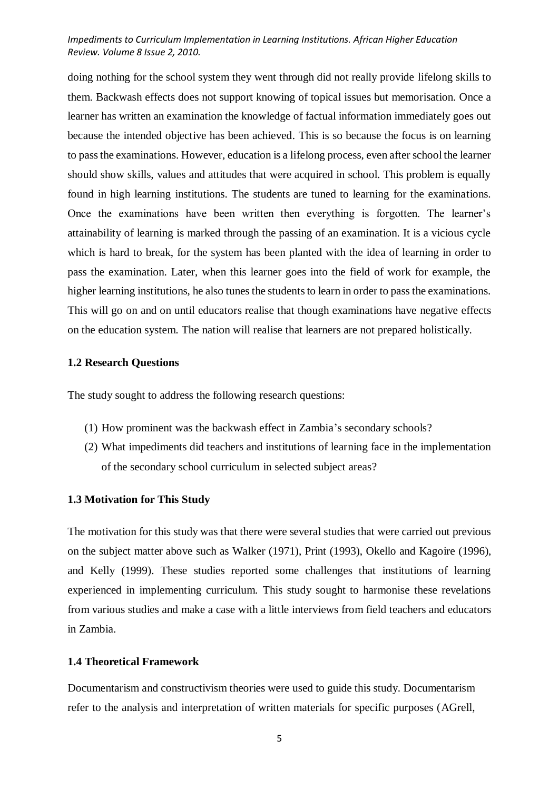doing nothing for the school system they went through did not really provide lifelong skills to them. Backwash effects does not support knowing of topical issues but memorisation. Once a learner has written an examination the knowledge of factual information immediately goes out because the intended objective has been achieved. This is so because the focus is on learning to pass the examinations. However, education is a lifelong process, even after school the learner should show skills, values and attitudes that were acquired in school. This problem is equally found in high learning institutions. The students are tuned to learning for the examinations. Once the examinations have been written then everything is forgotten. The learner's attainability of learning is marked through the passing of an examination. It is a vicious cycle which is hard to break, for the system has been planted with the idea of learning in order to pass the examination. Later, when this learner goes into the field of work for example, the higher learning institutions, he also tunes the students to learn in order to pass the examinations. This will go on and on until educators realise that though examinations have negative effects on the education system. The nation will realise that learners are not prepared holistically.

#### **1.2 Research Questions**

The study sought to address the following research questions:

- (1) How prominent was the backwash effect in Zambia's secondary schools?
- (2) What impediments did teachers and institutions of learning face in the implementation of the secondary school curriculum in selected subject areas?

#### **1.3 Motivation for This Study**

The motivation for this study was that there were several studies that were carried out previous on the subject matter above such as Walker (1971), Print (1993), Okello and Kagoire (1996), and Kelly (1999). These studies reported some challenges that institutions of learning experienced in implementing curriculum. This study sought to harmonise these revelations from various studies and make a case with a little interviews from field teachers and educators in Zambia.

# **1.4 Theoretical Framework**

Documentarism and constructivism theories were used to guide this study. Documentarism refer to the analysis and interpretation of written materials for specific purposes (AGrell,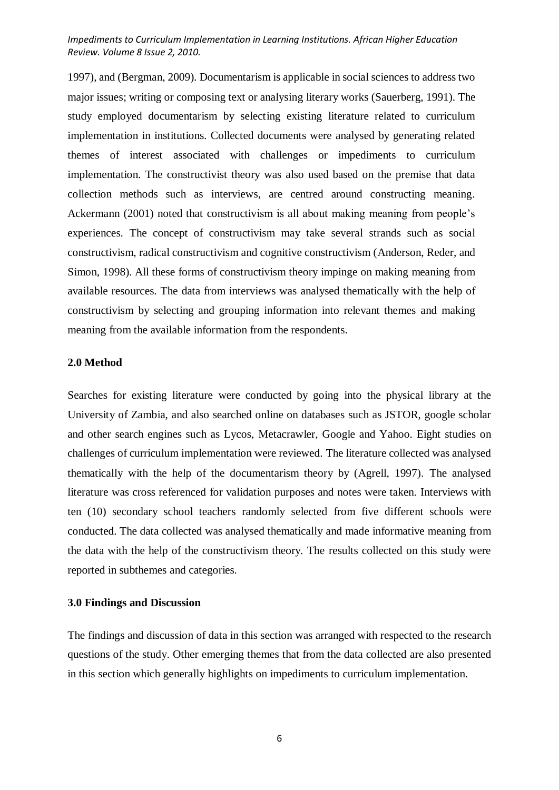1997), and (Bergman, 2009). Documentarism is applicable in social sciences to address two major issues; writing or composing text or analysing literary works (Sauerberg, 1991). The study employed documentarism by selecting existing literature related to curriculum implementation in institutions. Collected documents were analysed by generating related themes of interest associated with challenges or impediments to curriculum implementation. The constructivist theory was also used based on the premise that data collection methods such as interviews, are centred around constructing meaning. Ackermann (2001) noted that constructivism is all about making meaning from people's experiences. The concept of constructivism may take several strands such as social constructivism, radical constructivism and cognitive constructivism (Anderson, Reder, and Simon, 1998). All these forms of constructivism theory impinge on making meaning from available resources. The data from interviews was analysed thematically with the help of constructivism by selecting and grouping information into relevant themes and making meaning from the available information from the respondents.

#### **2.0 Method**

Searches for existing literature were conducted by going into the physical library at the University of Zambia, and also searched online on databases such as JSTOR, google scholar and other search engines such as Lycos, Metacrawler, Google and Yahoo. Eight studies on challenges of curriculum implementation were reviewed. The literature collected was analysed thematically with the help of the documentarism theory by (Agrell, 1997). The analysed literature was cross referenced for validation purposes and notes were taken. Interviews with ten (10) secondary school teachers randomly selected from five different schools were conducted. The data collected was analysed thematically and made informative meaning from the data with the help of the constructivism theory. The results collected on this study were reported in subthemes and categories.

# **3.0 Findings and Discussion**

The findings and discussion of data in this section was arranged with respected to the research questions of the study. Other emerging themes that from the data collected are also presented in this section which generally highlights on impediments to curriculum implementation.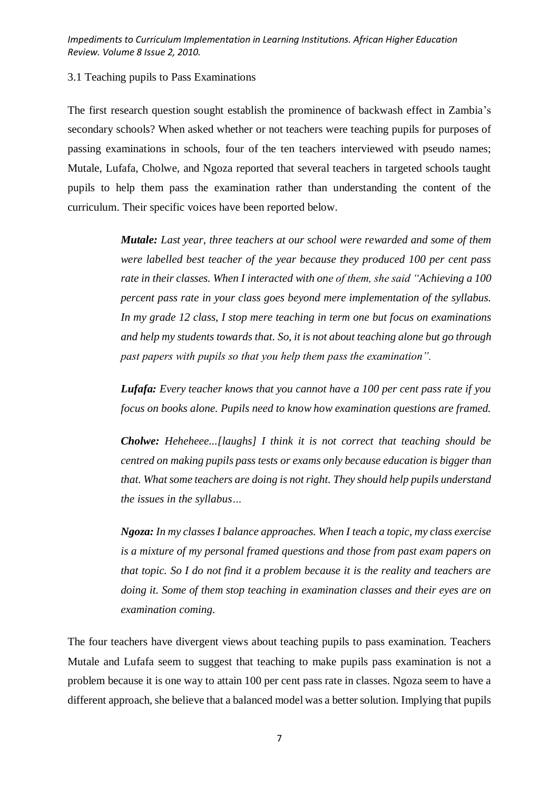# 3.1 Teaching pupils to Pass Examinations

The first research question sought establish the prominence of backwash effect in Zambia's secondary schools? When asked whether or not teachers were teaching pupils for purposes of passing examinations in schools, four of the ten teachers interviewed with pseudo names; Mutale, Lufafa, Cholwe, and Ngoza reported that several teachers in targeted schools taught pupils to help them pass the examination rather than understanding the content of the curriculum. Their specific voices have been reported below.

> *Mutale: Last year, three teachers at our school were rewarded and some of them were labelled best teacher of the year because they produced 100 per cent pass rate in their classes. When I interacted with one of them, she said "Achieving a 100 percent pass rate in your class goes beyond mere implementation of the syllabus. In my grade 12 class, I stop mere teaching in term one but focus on examinations and help my students towards that. So, it is not about teaching alone but go through past papers with pupils so that you help them pass the examination".*

> *Lufafa: Every teacher knows that you cannot have a 100 per cent pass rate if you focus on books alone. Pupils need to know how examination questions are framed.*

> *Cholwe: Heheheee...[laughs] I think it is not correct that teaching should be centred on making pupils pass tests or exams only because education is bigger than that. What some teachers are doing is not right. They should help pupils understand the issues in the syllabus…*

> *Ngoza: In my classes I balance approaches. When I teach a topic, my class exercise is a mixture of my personal framed questions and those from past exam papers on that topic. So I do not find it a problem because it is the reality and teachers are doing it. Some of them stop teaching in examination classes and their eyes are on examination coming.*

The four teachers have divergent views about teaching pupils to pass examination. Teachers Mutale and Lufafa seem to suggest that teaching to make pupils pass examination is not a problem because it is one way to attain 100 per cent pass rate in classes. Ngoza seem to have a different approach, she believe that a balanced model was a better solution. Implying that pupils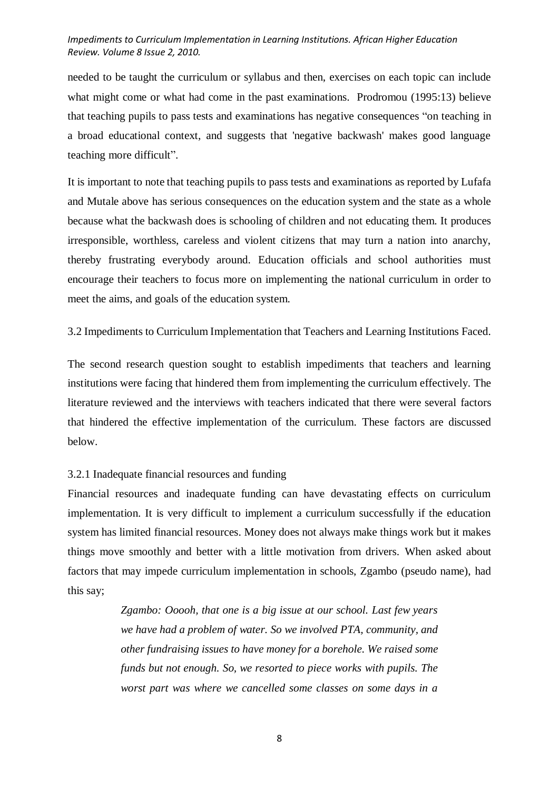needed to be taught the curriculum or syllabus and then, exercises on each topic can include what might come or what had come in the past examinations. Prodromou (1995:13) believe that teaching pupils to pass tests and examinations has negative consequences "on teaching in a broad educational context, and suggests that 'negative backwash' makes good language teaching more difficult".

It is important to note that teaching pupils to pass tests and examinations as reported by Lufafa and Mutale above has serious consequences on the education system and the state as a whole because what the backwash does is schooling of children and not educating them. It produces irresponsible, worthless, careless and violent citizens that may turn a nation into anarchy, thereby frustrating everybody around. Education officials and school authorities must encourage their teachers to focus more on implementing the national curriculum in order to meet the aims, and goals of the education system.

3.2 Impediments to Curriculum Implementation that Teachers and Learning Institutions Faced.

The second research question sought to establish impediments that teachers and learning institutions were facing that hindered them from implementing the curriculum effectively. The literature reviewed and the interviews with teachers indicated that there were several factors that hindered the effective implementation of the curriculum. These factors are discussed below.

#### 3.2.1 Inadequate financial resources and funding

Financial resources and inadequate funding can have devastating effects on curriculum implementation. It is very difficult to implement a curriculum successfully if the education system has limited financial resources. Money does not always make things work but it makes things move smoothly and better with a little motivation from drivers. When asked about factors that may impede curriculum implementation in schools, Zgambo (pseudo name), had this say;

> *Zgambo: Ooooh, that one is a big issue at our school. Last few years we have had a problem of water. So we involved PTA, community, and other fundraising issues to have money for a borehole. We raised some funds but not enough. So, we resorted to piece works with pupils. The worst part was where we cancelled some classes on some days in a*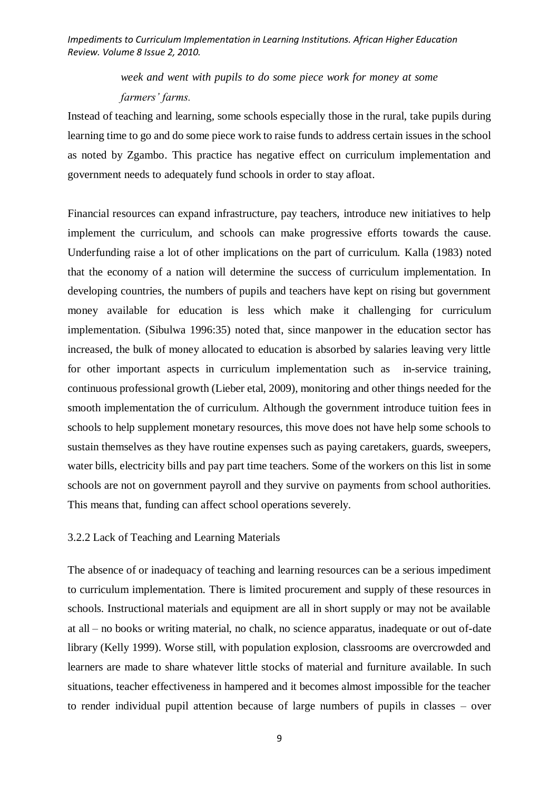# *week and went with pupils to do some piece work for money at some farmers' farms.*

Instead of teaching and learning, some schools especially those in the rural, take pupils during learning time to go and do some piece work to raise funds to address certain issues in the school as noted by Zgambo. This practice has negative effect on curriculum implementation and government needs to adequately fund schools in order to stay afloat.

Financial resources can expand infrastructure, pay teachers, introduce new initiatives to help implement the curriculum, and schools can make progressive efforts towards the cause. Underfunding raise a lot of other implications on the part of curriculum. Kalla (1983) noted that the economy of a nation will determine the success of curriculum implementation. In developing countries, the numbers of pupils and teachers have kept on rising but government money available for education is less which make it challenging for curriculum implementation. (Sibulwa 1996:35) noted that, since manpower in the education sector has increased, the bulk of money allocated to education is absorbed by salaries leaving very little for other important aspects in curriculum implementation such as in-service training, continuous professional growth (Lieber etal, 2009), monitoring and other things needed for the smooth implementation the of curriculum. Although the government introduce tuition fees in schools to help supplement monetary resources, this move does not have help some schools to sustain themselves as they have routine expenses such as paying caretakers, guards, sweepers, water bills, electricity bills and pay part time teachers. Some of the workers on this list in some schools are not on government payroll and they survive on payments from school authorities. This means that, funding can affect school operations severely.

#### 3.2.2 Lack of Teaching and Learning Materials

The absence of or inadequacy of teaching and learning resources can be a serious impediment to curriculum implementation. There is limited procurement and supply of these resources in schools. Instructional materials and equipment are all in short supply or may not be available at all – no books or writing material, no chalk, no science apparatus, inadequate or out of-date library (Kelly 1999). Worse still, with population explosion, classrooms are overcrowded and learners are made to share whatever little stocks of material and furniture available. In such situations, teacher effectiveness in hampered and it becomes almost impossible for the teacher to render individual pupil attention because of large numbers of pupils in classes – over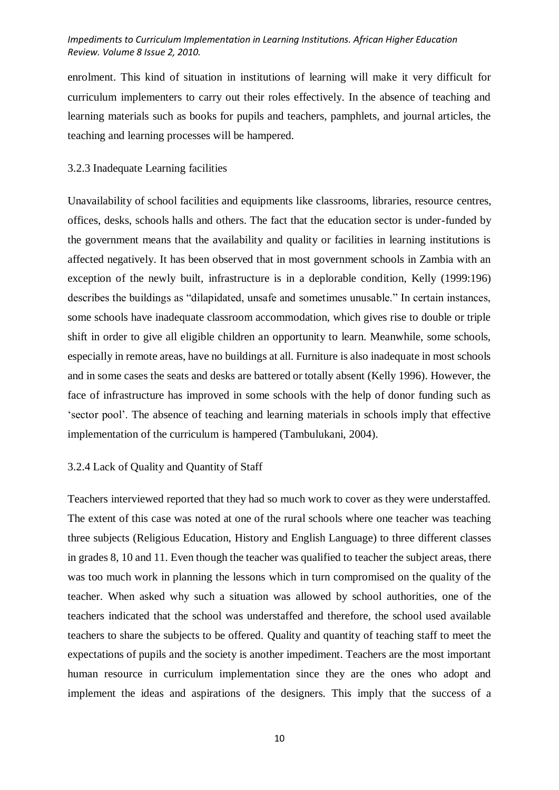enrolment. This kind of situation in institutions of learning will make it very difficult for curriculum implementers to carry out their roles effectively. In the absence of teaching and learning materials such as books for pupils and teachers, pamphlets, and journal articles, the teaching and learning processes will be hampered.

# 3.2.3 Inadequate Learning facilities

Unavailability of school facilities and equipments like classrooms, libraries, resource centres, offices, desks, schools halls and others. The fact that the education sector is under-funded by the government means that the availability and quality or facilities in learning institutions is affected negatively. It has been observed that in most government schools in Zambia with an exception of the newly built, infrastructure is in a deplorable condition, Kelly (1999:196) describes the buildings as "dilapidated, unsafe and sometimes unusable." In certain instances, some schools have inadequate classroom accommodation, which gives rise to double or triple shift in order to give all eligible children an opportunity to learn. Meanwhile, some schools, especially in remote areas, have no buildings at all. Furniture is also inadequate in most schools and in some cases the seats and desks are battered or totally absent (Kelly 1996). However, the face of infrastructure has improved in some schools with the help of donor funding such as 'sector pool'. The absence of teaching and learning materials in schools imply that effective implementation of the curriculum is hampered (Tambulukani, 2004).

# 3.2.4 Lack of Quality and Quantity of Staff

Teachers interviewed reported that they had so much work to cover as they were understaffed. The extent of this case was noted at one of the rural schools where one teacher was teaching three subjects (Religious Education, History and English Language) to three different classes in grades 8, 10 and 11. Even though the teacher was qualified to teacher the subject areas, there was too much work in planning the lessons which in turn compromised on the quality of the teacher. When asked why such a situation was allowed by school authorities, one of the teachers indicated that the school was understaffed and therefore, the school used available teachers to share the subjects to be offered. Quality and quantity of teaching staff to meet the expectations of pupils and the society is another impediment. Teachers are the most important human resource in curriculum implementation since they are the ones who adopt and implement the ideas and aspirations of the designers. This imply that the success of a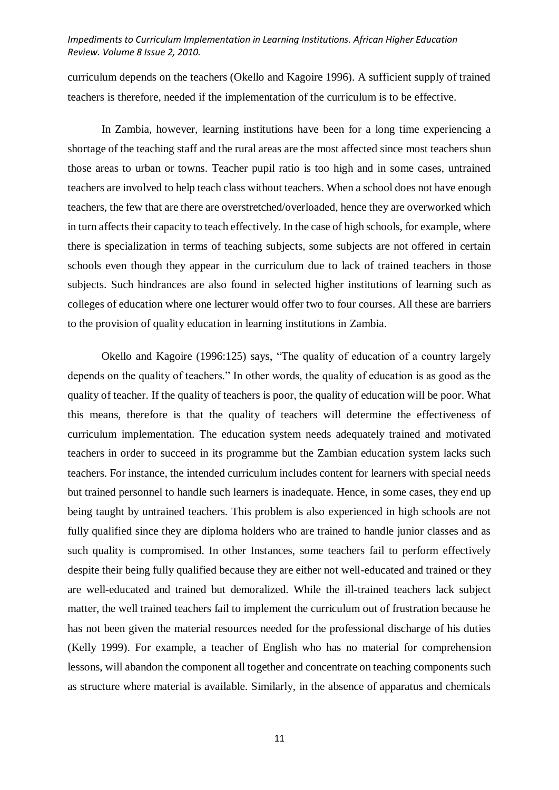curriculum depends on the teachers (Okello and Kagoire 1996). A sufficient supply of trained teachers is therefore, needed if the implementation of the curriculum is to be effective.

In Zambia, however, learning institutions have been for a long time experiencing a shortage of the teaching staff and the rural areas are the most affected since most teachers shun those areas to urban or towns. Teacher pupil ratio is too high and in some cases, untrained teachers are involved to help teach class without teachers. When a school does not have enough teachers, the few that are there are overstretched/overloaded, hence they are overworked which in turn affects their capacity to teach effectively. In the case of high schools, for example, where there is specialization in terms of teaching subjects, some subjects are not offered in certain schools even though they appear in the curriculum due to lack of trained teachers in those subjects. Such hindrances are also found in selected higher institutions of learning such as colleges of education where one lecturer would offer two to four courses. All these are barriers to the provision of quality education in learning institutions in Zambia.

Okello and Kagoire (1996:125) says, "The quality of education of a country largely depends on the quality of teachers." In other words, the quality of education is as good as the quality of teacher. If the quality of teachers is poor, the quality of education will be poor. What this means, therefore is that the quality of teachers will determine the effectiveness of curriculum implementation. The education system needs adequately trained and motivated teachers in order to succeed in its programme but the Zambian education system lacks such teachers. For instance, the intended curriculum includes content for learners with special needs but trained personnel to handle such learners is inadequate. Hence, in some cases, they end up being taught by untrained teachers. This problem is also experienced in high schools are not fully qualified since they are diploma holders who are trained to handle junior classes and as such quality is compromised. In other Instances, some teachers fail to perform effectively despite their being fully qualified because they are either not well-educated and trained or they are well-educated and trained but demoralized. While the ill-trained teachers lack subject matter, the well trained teachers fail to implement the curriculum out of frustration because he has not been given the material resources needed for the professional discharge of his duties (Kelly 1999). For example, a teacher of English who has no material for comprehension lessons, will abandon the component all together and concentrate on teaching components such as structure where material is available. Similarly, in the absence of apparatus and chemicals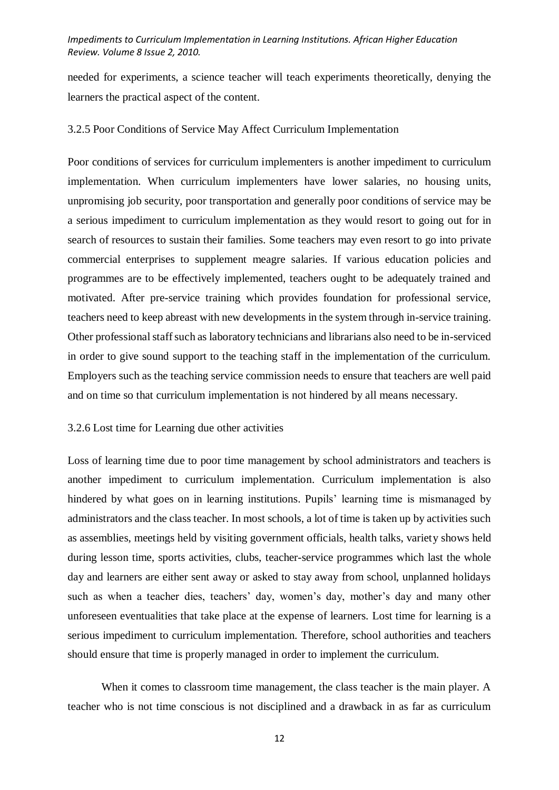needed for experiments, a science teacher will teach experiments theoretically, denying the learners the practical aspect of the content.

# 3.2.5 Poor Conditions of Service May Affect Curriculum Implementation

Poor conditions of services for curriculum implementers is another impediment to curriculum implementation. When curriculum implementers have lower salaries, no housing units, unpromising job security, poor transportation and generally poor conditions of service may be a serious impediment to curriculum implementation as they would resort to going out for in search of resources to sustain their families. Some teachers may even resort to go into private commercial enterprises to supplement meagre salaries. If various education policies and programmes are to be effectively implemented, teachers ought to be adequately trained and motivated. After pre-service training which provides foundation for professional service, teachers need to keep abreast with new developments in the system through in-service training. Other professional staff such as laboratory technicians and librarians also need to be in-serviced in order to give sound support to the teaching staff in the implementation of the curriculum. Employers such as the teaching service commission needs to ensure that teachers are well paid and on time so that curriculum implementation is not hindered by all means necessary.

## 3.2.6 Lost time for Learning due other activities

Loss of learning time due to poor time management by school administrators and teachers is another impediment to curriculum implementation. Curriculum implementation is also hindered by what goes on in learning institutions. Pupils' learning time is mismanaged by administrators and the class teacher. In most schools, a lot of time is taken up by activities such as assemblies, meetings held by visiting government officials, health talks, variety shows held during lesson time, sports activities, clubs, teacher-service programmes which last the whole day and learners are either sent away or asked to stay away from school, unplanned holidays such as when a teacher dies, teachers' day, women's day, mother's day and many other unforeseen eventualities that take place at the expense of learners. Lost time for learning is a serious impediment to curriculum implementation. Therefore, school authorities and teachers should ensure that time is properly managed in order to implement the curriculum.

When it comes to classroom time management, the class teacher is the main player. A teacher who is not time conscious is not disciplined and a drawback in as far as curriculum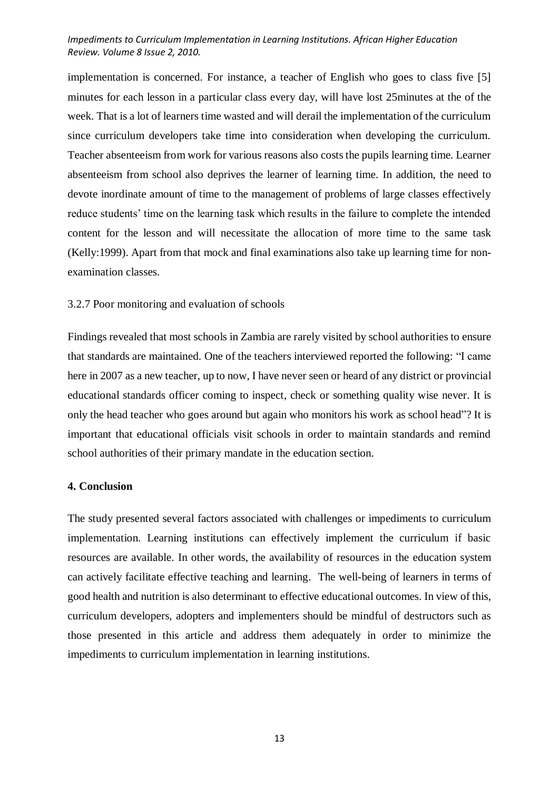implementation is concerned. For instance, a teacher of English who goes to class five [5] minutes for each lesson in a particular class every day, will have lost 25minutes at the of the week. That is a lot of learners time wasted and will derail the implementation of the curriculum since curriculum developers take time into consideration when developing the curriculum. Teacher absenteeism from work for various reasons also costs the pupils learning time. Learner absenteeism from school also deprives the learner of learning time. In addition, the need to devote inordinate amount of time to the management of problems of large classes effectively reduce students' time on the learning task which results in the failure to complete the intended content for the lesson and will necessitate the allocation of more time to the same task (Kelly:1999). Apart from that mock and final examinations also take up learning time for nonexamination classes.

# 3.2.7 Poor monitoring and evaluation of schools

Findings revealed that most schools in Zambia are rarely visited by school authorities to ensure that standards are maintained. One of the teachers interviewed reported the following: "I came here in 2007 as a new teacher, up to now, I have never seen or heard of any district or provincial educational standards officer coming to inspect, check or something quality wise never. It is only the head teacher who goes around but again who monitors his work as school head"? It is important that educational officials visit schools in order to maintain standards and remind school authorities of their primary mandate in the education section.

## **4. Conclusion**

The study presented several factors associated with challenges or impediments to curriculum implementation. Learning institutions can effectively implement the curriculum if basic resources are available. In other words, the availability of resources in the education system can actively facilitate effective teaching and learning. The well-being of learners in terms of good health and nutrition is also determinant to effective educational outcomes. In view of this, curriculum developers, adopters and implementers should be mindful of destructors such as those presented in this article and address them adequately in order to minimize the impediments to curriculum implementation in learning institutions.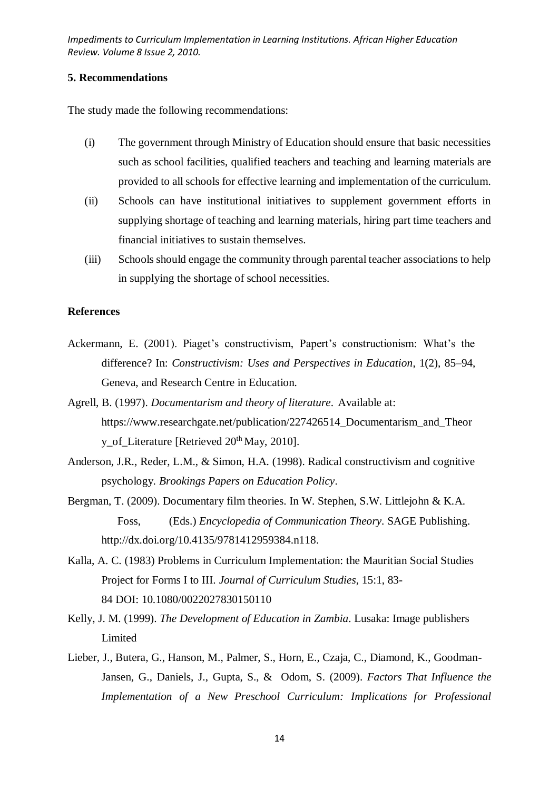# **5. Recommendations**

The study made the following recommendations:

- (i) The government through Ministry of Education should ensure that basic necessities such as school facilities, qualified teachers and teaching and learning materials are provided to all schools for effective learning and implementation of the curriculum.
- (ii) Schools can have institutional initiatives to supplement government efforts in supplying shortage of teaching and learning materials, hiring part time teachers and financial initiatives to sustain themselves.
- (iii) Schools should engage the community through parental teacher associations to help in supplying the shortage of school necessities.

# **References**

- Ackermann, E. (2001). Piaget's constructivism, Papert's constructionism: What's the difference? In: *Constructivism: Uses and Perspectives in Education*, 1(2), 85–94, Geneva, and Research Centre in Education.
- Agrell, B. (1997). *Documentarism and theory of literature*. Available at: [https://www.researchgate.net/publication/227426514\\_Documentarism\\_and\\_Theor](https://www.researchgate.net/publication/227426514_Documentarism_and_Theory_of_Literature) [y\\_of\\_Literature](https://www.researchgate.net/publication/227426514_Documentarism_and_Theory_of_Literature) [Retrieved 20<sup>th</sup> May, 2010].
- Anderson, J.R., Reder, L.M., & Simon, H.A. (1998). Radical constructivism and cognitive psychology. *Brookings Papers on Education Policy*.
- Bergman, T. (2009). Documentary film theories. In W. Stephen, S.W. Littlejohn & K.A. Foss, (Eds.) *Encyclopedia of Communication Theory*. SAGE Publishing. [http://dx.doi.org/10.4135/9781412959384.n118.](http://dx.doi.org/10.4135/9781412959384.n118)
- Kalla, A. C. (1983) Problems in Curriculum Implementation: the Mauritian Social Studies Project for Forms I to III. *Journal of Curriculum Studies,* 15:1, 83- 84 DOI: [10.1080/0022027830150110](https://doi.org/10.1080/0022027830150110)
- Kelly, J. M. (1999). *The Development of Education in Zambia*. Lusaka: Image publishers Limited
- Lieber, J., Butera, G., Hanson, M., Palmer, S., Horn, E., Czaja, C., Diamond, K., Goodman-Jansen, G., Daniels, J., Gupta, S., & Odom, S. (2009). *Factors That Influence the Implementation of a New Preschool Curriculum: Implications for Professional*